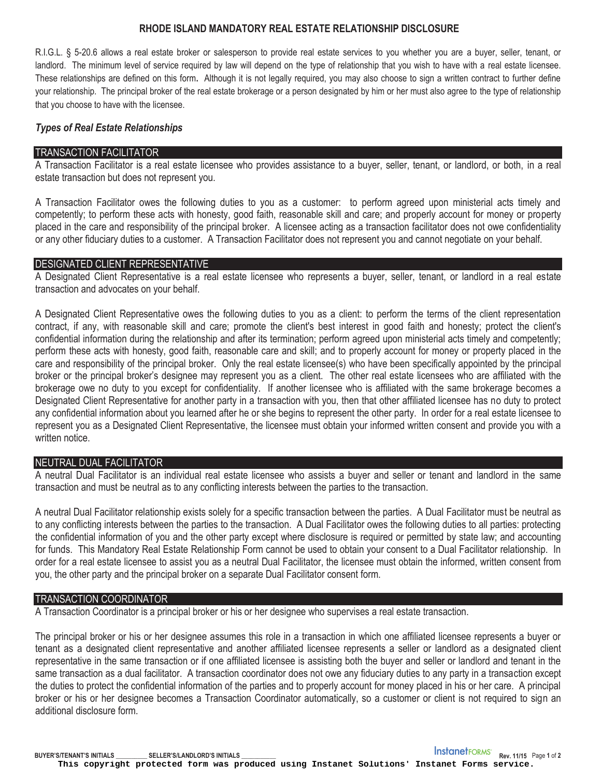# **RHODE ISLAND MANDATORY REAL ESTATE RELATIONSHIP DISCLOSURE**

R.I.G.L. § 5-20.6 allows a real estate broker or salesperson to provide real estate services to you whether you are a buyer, seller, tenant, or landlord. The minimum level of service required by law will depend on the type of relationship that you wish to have with a real estate licensee. These relationships are defined on this form**.** Although it is not legally required, you may also choose to sign a written contract to further define your relationship. The principal broker of the real estate brokerage or a person designated by him or her must also agree to the type of relationship that you choose to have with the licensee.

# *Types of Real Estate Relationships*

# TRANSACTION FACILITATOR

A Transaction Facilitator is a real estate licensee who provides assistance to a buyer, seller, tenant, or landlord, or both, in a real estate transaction but does not represent you.

A Transaction Facilitator owes the following duties to you as a customer: to perform agreed upon ministerial acts timely and competently; to perform these acts with honesty, good faith, reasonable skill and care; and properly account for money or property placed in the care and responsibility of the principal broker. A licensee acting as a transaction facilitator does not owe confidentiality or any other fiduciary duties to a customer. A Transaction Facilitator does not represent you and cannot negotiate on your behalf.

# DESIGNATED CLIENT REPRESENTATIVE

A Designated Client Representative is a real estate licensee who represents a buyer, seller, tenant, or landlord in a real estate transaction and advocates on your behalf.

A Designated Client Representative owes the following duties to you as a client: to perform the terms of the client representation contract, if any, with reasonable skill and care; promote the client's best interest in good faith and honesty; protect the client's confidential information during the relationship and after its termination; perform agreed upon ministerial acts timely and competently; perform these acts with honesty, good faith, reasonable care and skill; and to properly account for money or property placed in the care and responsibility of the principal broker. Only the real estate licensee(s) who have been specifically appointed by the principal broker or the principal broker's designee may represent you as a client. The other real estate licensees who are affiliated with the brokerage owe no duty to you except for confidentiality. If another licensee who is affiliated with the same brokerage becomes a Designated Client Representative for another party in a transaction with you, then that other affiliated licensee has no duty to protect any confidential information about you learned after he or she begins to represent the other party. In order for a real estate licensee to represent you as a Designated Client Representative, the licensee must obtain your informed written consent and provide you with a written notice.

# NEUTRAL DUAL FACILITATOR

A neutral Dual Facilitator is an individual real estate licensee who assists a buyer and seller or tenant and landlord in the same transaction and must be neutral as to any conflicting interests between the parties to the transaction.

A neutral Dual Facilitator relationship exists solely for a specific transaction between the parties. A Dual Facilitator must be neutral as to any conflicting interests between the parties to the transaction. A Dual Facilitator owes the following duties to all parties: protecting the confidential information of you and the other party except where disclosure is required or permitted by state law; and accounting for funds. This Mandatory Real Estate Relationship Form cannot be used to obtain your consent to a Dual Facilitator relationship. In order for a real estate licensee to assist you as a neutral Dual Facilitator, the licensee must obtain the informed, written consent from you, the other party and the principal broker on a separate Dual Facilitator consent form.

# TRANSACTION COORDINATOR

A Transaction Coordinator is a principal broker or his or her designee who supervises a real estate transaction.

The principal broker or his or her designee assumes this role in a transaction in which one affiliated licensee represents a buyer or tenant as a designated client representative and another affiliated licensee represents a seller or landlord as a designated client representative in the same transaction or if one affiliated licensee is assisting both the buyer and seller or landlord and tenant in the same transaction as a dual facilitator. A transaction coordinator does not owe any fiduciary duties to any party in a transaction except the duties to protect the confidential information of the parties and to properly account for money placed in his or her care. A principal broker or his or her designee becomes a Transaction Coordinator automatically, so a customer or client is not required to sign an additional disclosure form.